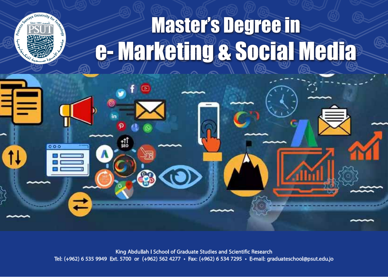# **Master's Degree in** e-Marketing & Social Media

King Abdullah I School of Graduate Studies and Scientific Research<br>Tel: (+962) 6 535 9949 Ext. 5700 or (+962) 562 4277 • Fax: (+962) 6 534 7295 • E-mail: graduateschool@psut.edu.jo

ſа

 $000$ 

첇